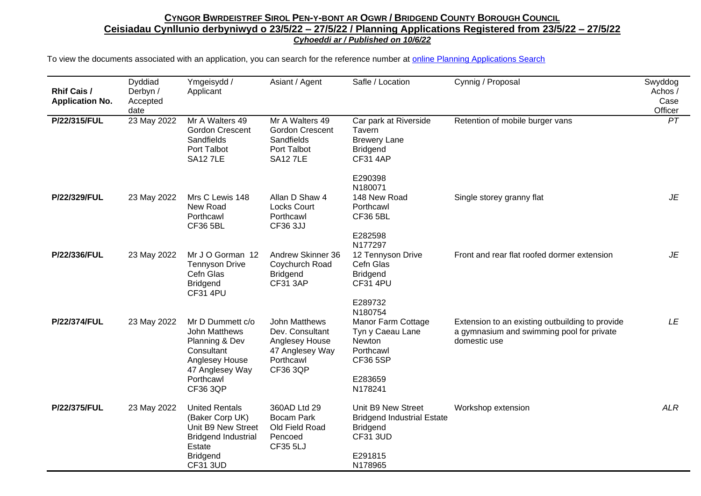| Rhif Cais /<br><b>Application No.</b> | Dyddiad<br>Derbyn /<br>Accepted<br>date | Ymgeisydd /<br>Applicant                                                                                                                     | Asiant / Agent                                                                                        | Safle / Location                                                                                                    | Cynnig / Proposal                                                                                            | Swyddog<br>Achos /<br>Case<br>Officer |
|---------------------------------------|-----------------------------------------|----------------------------------------------------------------------------------------------------------------------------------------------|-------------------------------------------------------------------------------------------------------|---------------------------------------------------------------------------------------------------------------------|--------------------------------------------------------------------------------------------------------------|---------------------------------------|
| P/22/315/FUL                          | 23 May 2022                             | Mr A Walters 49<br><b>Gordon Crescent</b><br>Sandfields<br>Port Talbot<br><b>SA12 7LE</b>                                                    | Mr A Walters 49<br><b>Gordon Crescent</b><br>Sandfields<br>Port Talbot<br><b>SA12 7LE</b>             | Car park at Riverside<br>Tavern<br><b>Brewery Lane</b><br><b>Bridgend</b><br><b>CF31 4AP</b>                        | Retention of mobile burger vans                                                                              | PT                                    |
| P/22/329/FUL                          | 23 May 2022                             | Mrs C Lewis 148<br>New Road<br>Porthcawl<br><b>CF36 5BL</b>                                                                                  | Allan D Shaw 4<br><b>Locks Court</b><br>Porthcawl<br>CF36 3JJ                                         | E290398<br>N180071<br>148 New Road<br>Porthcawl<br><b>CF36 5BL</b><br>E282598<br>N177297                            | Single storey granny flat                                                                                    | JE                                    |
| P/22/336/FUL                          | 23 May 2022                             | Mr J O Gorman 12<br><b>Tennyson Drive</b><br>Cefn Glas<br><b>Bridgend</b><br><b>CF31 4PU</b>                                                 | Andrew Skinner 36<br>Coychurch Road<br><b>Bridgend</b><br><b>CF31 3AP</b>                             | 12 Tennyson Drive<br>Cefn Glas<br><b>Bridgend</b><br><b>CF31 4PU</b><br>E289732                                     | Front and rear flat roofed dormer extension                                                                  | JE                                    |
| P/22/374/FUL                          | 23 May 2022                             | Mr D Dummett c/o<br>John Matthews<br>Planning & Dev<br>Consultant<br>Anglesey House<br>47 Anglesey Way<br>Porthcawl<br>CF36 3QP              | John Matthews<br>Dev. Consultant<br>Anglesey House<br>47 Anglesey Way<br>Porthcawl<br><b>CF36 3QP</b> | N180754<br>Manor Farm Cottage<br>Tyn y Caeau Lane<br>Newton<br>Porthcawl<br><b>CF36 5SP</b><br>E283659<br>N178241   | Extension to an existing outbuilding to provide<br>a gymnasium and swimming pool for private<br>domestic use | LE                                    |
| P/22/375/FUL                          | 23 May 2022                             | <b>United Rentals</b><br>(Baker Corp UK)<br>Unit B9 New Street<br><b>Bridgend Industrial</b><br>Estate<br><b>Bridgend</b><br><b>CF31 3UD</b> | 360AD Ltd 29<br><b>Bocam Park</b><br>Old Field Road<br>Pencoed<br>CF35 5LJ                            | Unit B9 New Street<br><b>Bridgend Industrial Estate</b><br><b>Bridgend</b><br><b>CF31 3UD</b><br>E291815<br>N178965 | Workshop extension                                                                                           | <b>ALR</b>                            |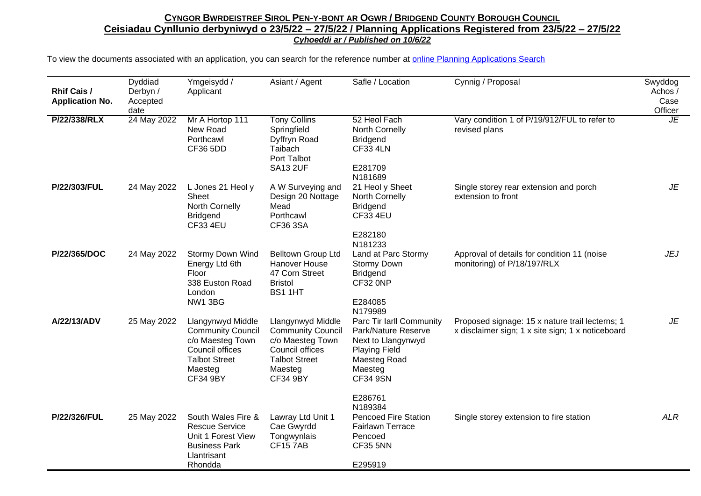| <b>Rhif Cais /</b><br><b>Application No.</b> | Dyddiad<br>Derbyn /<br>Accepted<br>date | Ymgeisydd /<br>Applicant                                                                                                                   | Asiant / Agent                                                                                                                             | Safle / Location                                                                                                                            | Cynnig / Proposal                                                                                    | Swyddog<br>Achos /<br>Case<br>Officer |
|----------------------------------------------|-----------------------------------------|--------------------------------------------------------------------------------------------------------------------------------------------|--------------------------------------------------------------------------------------------------------------------------------------------|---------------------------------------------------------------------------------------------------------------------------------------------|------------------------------------------------------------------------------------------------------|---------------------------------------|
| P/22/338/RLX                                 | 24 May 2022                             | Mr A Hortop 111<br>New Road<br>Porthcawl<br><b>CF36 5DD</b>                                                                                | <b>Tony Collins</b><br>Springfield<br>Dyffryn Road<br>Taibach<br>Port Talbot<br><b>SA13 2UF</b>                                            | 52 Heol Fach<br>North Cornelly<br><b>Bridgend</b><br><b>CF33 4LN</b><br>E281709<br>N181689                                                  | Vary condition 1 of P/19/912/FUL to refer to<br>revised plans                                        | JE                                    |
| P/22/303/FUL                                 | 24 May 2022                             | L Jones 21 Heol y<br>Sheet<br>North Cornelly<br><b>Bridgend</b><br><b>CF33 4EU</b>                                                         | A W Surveying and<br>Design 20 Nottage<br>Mead<br>Porthcawl<br>CF36 3SA                                                                    | 21 Heol y Sheet<br>North Cornelly<br><b>Bridgend</b><br><b>CF33 4EU</b><br>E282180<br>N181233                                               | Single storey rear extension and porch<br>extension to front                                         | JE                                    |
| P/22/365/DOC                                 | 24 May 2022                             | <b>Stormy Down Wind</b><br>Energy Ltd 6th<br>Floor<br>338 Euston Road<br>London<br><b>NW1 3BG</b>                                          | Belltown Group Ltd<br><b>Hanover House</b><br>47 Corn Street<br><b>Bristol</b><br>BS1 1HT                                                  | Land at Parc Stormy<br>Stormy Down<br><b>Bridgend</b><br>CF32 0NP<br>E284085<br>N179989                                                     | Approval of details for condition 11 (noise<br>monitoring) of P/18/197/RLX                           | <b>JEJ</b>                            |
| A/22/13/ADV                                  | 25 May 2022                             | Llangynwyd Middle<br><b>Community Council</b><br>c/o Maesteg Town<br>Council offices<br><b>Talbot Street</b><br>Maesteg<br><b>CF34 9BY</b> | Llangynwyd Middle<br><b>Community Council</b><br>c/o Maesteg Town<br>Council offices<br><b>Talbot Street</b><br>Maesteg<br><b>CF34 9BY</b> | Parc Tir Iarll Community<br>Park/Nature Reserve<br>Next to Llangynwyd<br><b>Playing Field</b><br>Maesteg Road<br>Maesteg<br><b>CF34 9SN</b> | Proposed signage: 15 x nature trail lecterns; 1<br>x disclaimer sign; 1 x site sign; 1 x noticeboard | JE                                    |
| P/22/326/FUL                                 | 25 May 2022                             | South Wales Fire &<br><b>Rescue Service</b><br>Unit 1 Forest View<br><b>Business Park</b><br>Llantrisant<br>Rhondda                        | Lawray Ltd Unit 1<br>Cae Gwyrdd<br>Tongwynlais<br><b>CF157AB</b>                                                                           | E286761<br>N189384<br><b>Pencoed Fire Station</b><br><b>Fairlawn Terrace</b><br>Pencoed<br><b>CF35 5NN</b><br>E295919                       | Single storey extension to fire station                                                              | <b>ALR</b>                            |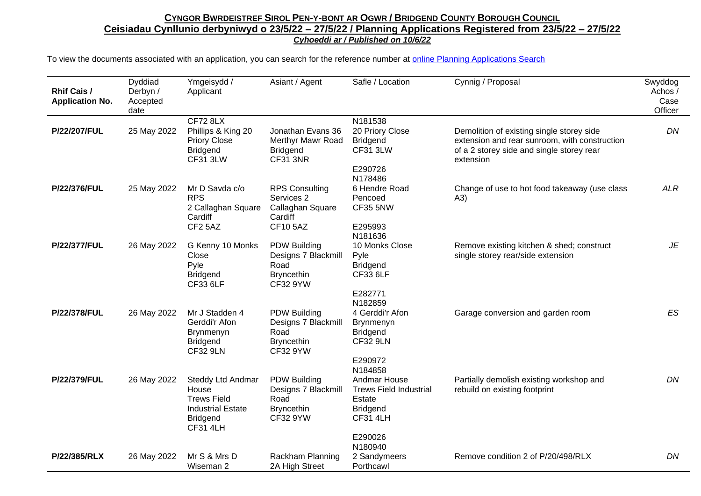| <b>Rhif Cais /</b><br><b>Application No.</b> | Dyddiad<br>Derbyn /<br>Accepted<br>date | Ymgeisydd /<br>Applicant                                                                                           | Asiant / Agent                                                                             | Safle / Location                                                                                                    | Cynnig / Proposal                                                                                                                                    | Swyddog<br>Achos /<br>Case<br>Officer |
|----------------------------------------------|-----------------------------------------|--------------------------------------------------------------------------------------------------------------------|--------------------------------------------------------------------------------------------|---------------------------------------------------------------------------------------------------------------------|------------------------------------------------------------------------------------------------------------------------------------------------------|---------------------------------------|
| P/22/207/FUL                                 | 25 May 2022                             | <b>CF72 8LX</b><br>Phillips & King 20<br><b>Priory Close</b><br><b>Bridgend</b><br><b>CF31 3LW</b>                 | Jonathan Evans 36<br>Merthyr Mawr Road<br><b>Bridgend</b><br><b>CF31 3NR</b>               | N181538<br>20 Priory Close<br><b>Bridgend</b><br><b>CF31 3LW</b><br>E290726<br>N178486                              | Demolition of existing single storey side<br>extension and rear sunroom, with construction<br>of a 2 storey side and single storey rear<br>extension | DN                                    |
| P/22/376/FUL                                 | 25 May 2022                             | Mr D Savda c/o<br><b>RPS</b><br>2 Callaghan Square<br>Cardiff<br>CF2 5AZ                                           | <b>RPS Consulting</b><br>Services 2<br>Callaghan Square<br>Cardiff<br><b>CF10 5AZ</b>      | 6 Hendre Road<br>Pencoed<br><b>CF35 5NW</b><br>E295993<br>N181636                                                   | Change of use to hot food takeaway (use class<br>(A3)                                                                                                | <b>ALR</b>                            |
| <b>P/22/377/FUL</b>                          | 26 May 2022                             | G Kenny 10 Monks<br>Close<br>Pyle<br><b>Bridgend</b><br>CF33 6LF                                                   | PDW Building<br>Designs 7 Blackmill<br>Road<br><b>Bryncethin</b><br><b>CF32 9YW</b>        | 10 Monks Close<br>Pyle<br><b>Bridgend</b><br><b>CF33 6LF</b><br>E282771<br>N182859                                  | Remove existing kitchen & shed; construct<br>single storey rear/side extension                                                                       | JE                                    |
| P/22/378/FUL                                 | 26 May 2022                             | Mr J Stadden 4<br>Gerddi'r Afon<br>Brynmenyn<br><b>Bridgend</b><br><b>CF32 9LN</b>                                 | <b>PDW Building</b><br>Designs 7 Blackmill<br>Road<br><b>Bryncethin</b><br><b>CF32 9YW</b> | 4 Gerddi'r Afon<br>Brynmenyn<br><b>Bridgend</b><br><b>CF32 9LN</b><br>E290972<br>N184858                            | Garage conversion and garden room                                                                                                                    | ES                                    |
| P/22/379/FUL                                 | 26 May 2022                             | Steddy Ltd Andmar<br>House<br><b>Trews Field</b><br><b>Industrial Estate</b><br><b>Bridgend</b><br><b>CF31 4LH</b> | PDW Building<br>Designs 7 Blackmill<br>Road<br><b>Bryncethin</b><br><b>CF32 9YW</b>        | Andmar House<br><b>Trews Field Industrial</b><br>Estate<br><b>Bridgend</b><br><b>CF31 4LH</b><br>E290026<br>N180940 | Partially demolish existing workshop and<br>rebuild on existing footprint                                                                            | DN                                    |
| P/22/385/RLX                                 | 26 May 2022                             | Mr S & Mrs D<br>Wiseman 2                                                                                          | Rackham Planning<br>2A High Street                                                         | 2 Sandymeers<br>Porthcawl                                                                                           | Remove condition 2 of P/20/498/RLX                                                                                                                   | DN                                    |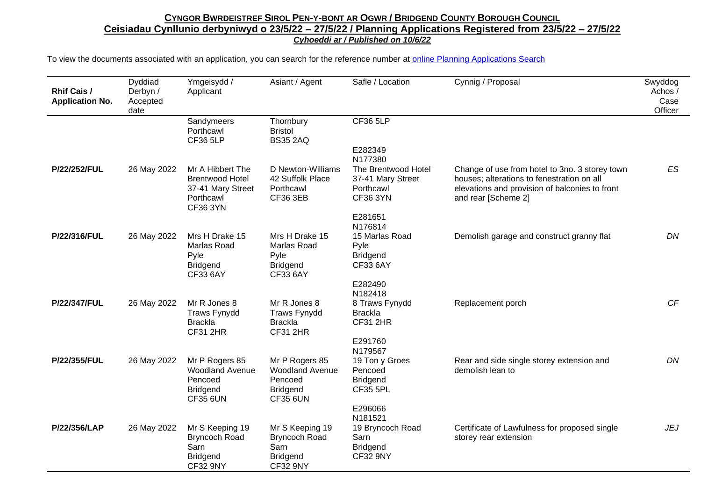| <b>Rhif Cais /</b><br><b>Application No.</b> | Dyddiad<br>Derbyn /<br>Accepted<br>date | Ymgeisydd /<br>Applicant                                                                        | Asiant / Agent                                                                            | Safle / Location                                                                     | Cynnig / Proposal                                                                                                                                                     | Swyddog<br>Achos /<br>Case<br>Officer |
|----------------------------------------------|-----------------------------------------|-------------------------------------------------------------------------------------------------|-------------------------------------------------------------------------------------------|--------------------------------------------------------------------------------------|-----------------------------------------------------------------------------------------------------------------------------------------------------------------------|---------------------------------------|
|                                              |                                         | Sandymeers<br>Porthcawl<br><b>CF36 5LP</b>                                                      | Thornbury<br><b>Bristol</b><br><b>BS35 2AQ</b>                                            | <b>CF36 5LP</b><br>E282349<br>N177380                                                |                                                                                                                                                                       |                                       |
| P/22/252/FUL                                 | 26 May 2022                             | Mr A Hibbert The<br><b>Brentwood Hotel</b><br>37-41 Mary Street<br>Porthcawl<br><b>CF36 3YN</b> | D Newton-Williams<br>42 Suffolk Place<br>Porthcawl<br><b>CF36 3EB</b>                     | The Brentwood Hotel<br>37-41 Mary Street<br>Porthcawl<br><b>CF36 3YN</b><br>E281651  | Change of use from hotel to 3no. 3 storey town<br>houses; alterations to fenestration on all<br>elevations and provision of balconies to front<br>and rear [Scheme 2] | <b>ES</b>                             |
| P/22/316/FUL                                 | 26 May 2022                             | Mrs H Drake 15<br>Marlas Road<br>Pyle<br><b>Bridgend</b><br><b>CF33 6AY</b>                     | Mrs H Drake 15<br>Marlas Road<br>Pyle<br><b>Bridgend</b><br>CF33 6AY                      | N176814<br>15 Marlas Road<br>Pyle<br><b>Bridgend</b><br><b>CF33 6AY</b><br>E282490   | Demolish garage and construct granny flat                                                                                                                             | DN                                    |
| P/22/347/FUL                                 | 26 May 2022                             | Mr R Jones 8<br><b>Traws Fynydd</b><br><b>Brackla</b><br><b>CF31 2HR</b>                        | Mr R Jones 8<br><b>Traws Fynydd</b><br><b>Brackla</b><br><b>CF31 2HR</b>                  | N182418<br>8 Traws Fynydd<br><b>Brackla</b><br><b>CF31 2HR</b><br>E291760<br>N179567 | Replacement porch                                                                                                                                                     | CF                                    |
| P/22/355/FUL                                 | 26 May 2022                             | Mr P Rogers 85<br><b>Woodland Avenue</b><br>Pencoed<br><b>Bridgend</b><br><b>CF35 6UN</b>       | Mr P Rogers 85<br><b>Woodland Avenue</b><br>Pencoed<br><b>Bridgend</b><br><b>CF35 6UN</b> | 19 Ton y Groes<br>Pencoed<br><b>Bridgend</b><br><b>CF35 5PL</b><br>E296066           | Rear and side single storey extension and<br>demolish lean to                                                                                                         | DN                                    |
| P/22/356/LAP                                 | 26 May 2022                             | Mr S Keeping 19<br><b>Bryncoch Road</b><br>Sarn<br><b>Bridgend</b><br><b>CF32 9NY</b>           | Mr S Keeping 19<br><b>Bryncoch Road</b><br>Sarn<br><b>Bridgend</b><br><b>CF32 9NY</b>     | N181521<br>19 Bryncoch Road<br>Sarn<br><b>Bridgend</b><br><b>CF32 9NY</b>            | Certificate of Lawfulness for proposed single<br>storey rear extension                                                                                                | <b>JEJ</b>                            |